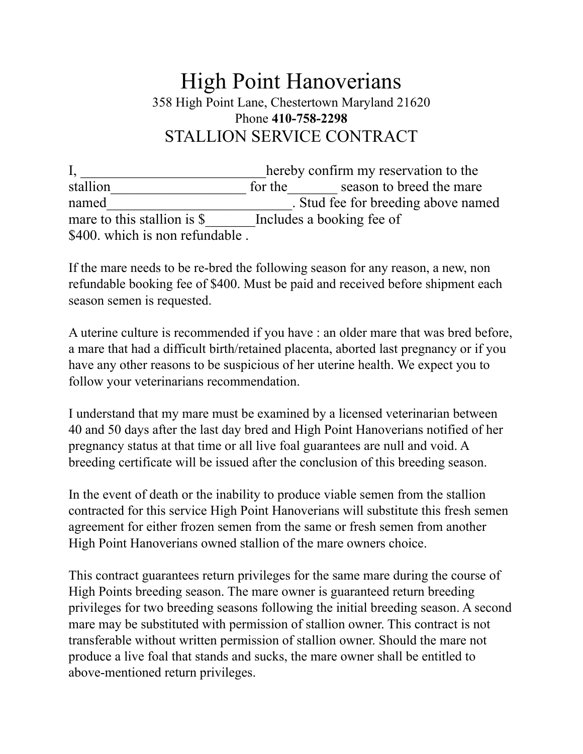## High Point Hanoverians 358 High Point Lane, Chestertown Maryland 21620 Phone **410-758-2298** STALLION SERVICE CONTRACT

I, hereby confirm my reservation to the stallion for the season to breed the mare named **named** Stud fee for breeding above named mare to this stallion is \$  $\blacksquare$  Includes a booking fee of \$400. which is non refundable.

If the mare needs to be re-bred the following season for any reason, a new, non refundable booking fee of \$400. Must be paid and received before shipment each season semen is requested.

A uterine culture is recommended if you have : an older mare that was bred before, a mare that had a difficult birth/retained placenta, aborted last pregnancy or if you have any other reasons to be suspicious of her uterine health. We expect you to follow your veterinarians recommendation.

I understand that my mare must be examined by a licensed veterinarian between 40 and 50 days after the last day bred and High Point Hanoverians notified of her pregnancy status at that time or all live foal guarantees are null and void. A breeding certificate will be issued after the conclusion of this breeding season.

In the event of death or the inability to produce viable semen from the stallion contracted for this service High Point Hanoverians will substitute this fresh semen agreement for either frozen semen from the same or fresh semen from another High Point Hanoverians owned stallion of the mare owners choice.

This contract guarantees return privileges for the same mare during the course of High Points breeding season. The mare owner is guaranteed return breeding privileges for two breeding seasons following the initial breeding season. A second mare may be substituted with permission of stallion owner. This contract is not transferable without written permission of stallion owner. Should the mare not produce a live foal that stands and sucks, the mare owner shall be entitled to above-mentioned return privileges.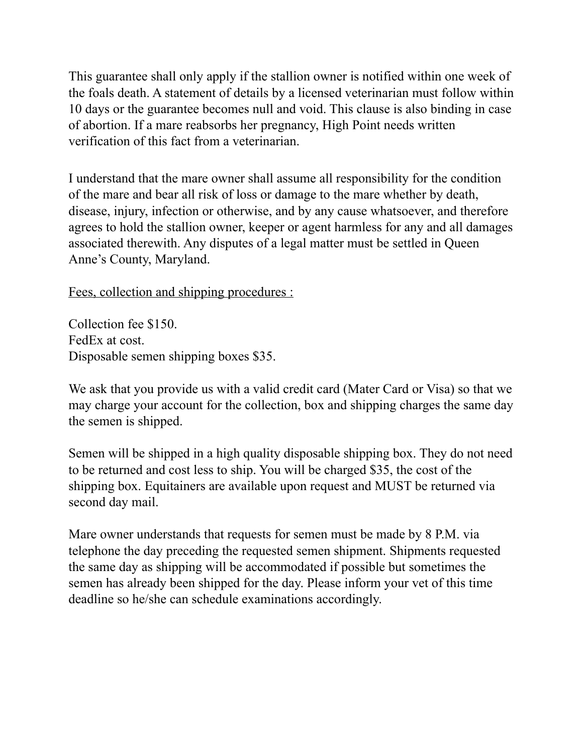This guarantee shall only apply if the stallion owner is notified within one week of the foals death. A statement of details by a licensed veterinarian must follow within 10 days or the guarantee becomes null and void. This clause is also binding in case of abortion. If a mare reabsorbs her pregnancy, High Point needs written verification of this fact from a veterinarian.

I understand that the mare owner shall assume all responsibility for the condition of the mare and bear all risk of loss or damage to the mare whether by death, disease, injury, infection or otherwise, and by any cause whatsoever, and therefore agrees to hold the stallion owner, keeper or agent harmless for any and all damages associated therewith. Any disputes of a legal matter must be settled in Queen Anne's County, Maryland.

Fees, collection and shipping procedures :

Collection fee \$150. FedEx at cost. Disposable semen shipping boxes \$35.

We ask that you provide us with a valid credit card (Mater Card or Visa) so that we may charge your account for the collection, box and shipping charges the same day the semen is shipped.

Semen will be shipped in a high quality disposable shipping box. They do not need to be returned and cost less to ship. You will be charged \$35, the cost of the shipping box. Equitainers are available upon request and MUST be returned via second day mail.

Mare owner understands that requests for semen must be made by 8 P.M. via telephone the day preceding the requested semen shipment. Shipments requested the same day as shipping will be accommodated if possible but sometimes the semen has already been shipped for the day. Please inform your vet of this time deadline so he/she can schedule examinations accordingly.